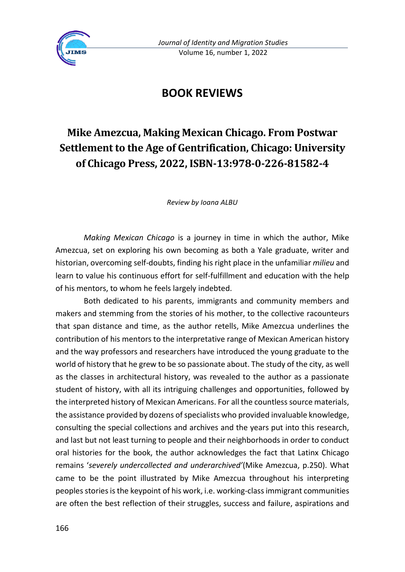

## **BOOK REVIEWS**

## **Mike Amezcua, Making Mexican Chicago. From Postwar Settlement to the Age of Gentrification, Chicago: University of Chicago Press, 2022, ISBN-13:978-0-226-81582-4**

*Review by Ioana ALBU*

*Making Mexican Chicago* is a journey in time in which the author, Mike Amezcua, set on exploring his own becoming as both a Yale graduate, writer and historian, overcoming self-doubts, finding his right place in the unfamiliar *milieu* and learn to value his continuous effort for self-fulfillment and education with the help of his mentors, to whom he feels largely indebted.

Both dedicated to his parents, immigrants and community members and makers and stemming from the stories of his mother, to the collective racounteurs that span distance and time, as the author retells, Mike Amezcua underlines the contribution of his mentors to the interpretative range of Mexican American history and the way professors and researchers have introduced the young graduate to the world of history that he grew to be so passionate about. The study of the city, as well as the classes in architectural history, was revealed to the author as a passionate student of history, with all its intriguing challenges and opportunities, followed by the interpreted history of Mexican Americans. For all the countless source materials, the assistance provided by dozens of specialists who provided invaluable knowledge, consulting the special collections and archives and the years put into this research, and last but not least turning to people and their neighborhoods in order to conduct oral histories for the book, the author acknowledges the fact that Latinx Chicago remains '*severely undercollected and underarchived'*(Mike Amezcua, p.250). What came to be the point illustrated by Mike Amezcua throughout his interpreting peoples stories is the keypoint of his work, i.e. working-class immigrant communities are often the best reflection of their struggles, success and failure, aspirations and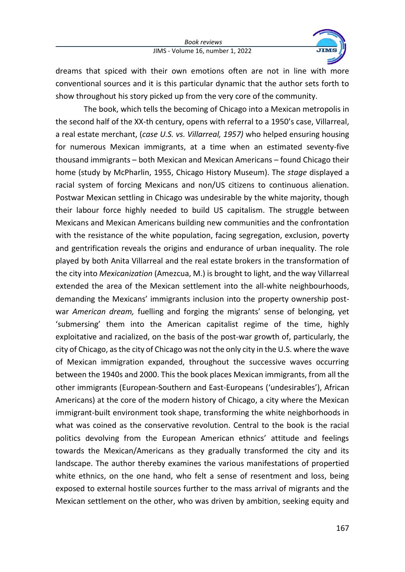*Book reviews* JIMS - Volume 16, number 1, 2022



dreams that spiced with their own emotions often are not in line with more conventional sources and it is this particular dynamic that the author sets forth to show throughout his story picked up from the very core of the community.

The book, which tells the becoming of Chicago into a Mexican metropolis in the second half of the XX-th century, opens with referral to a 1950's case, Villarreal, a real estate merchant, (*case U.S. vs. Villarreal, 1957)* who helped ensuring housing for numerous Mexican immigrants, at a time when an estimated seventy-five thousand immigrants – both Mexican and Mexican Americans – found Chicago their home (study by McPharlin, 1955, Chicago History Museum). The *stage* displayed a racial system of forcing Mexicans and non/US citizens to continuous alienation. Postwar Mexican settling in Chicago was undesirable by the white majority, though their labour force highly needed to build US capitalism. The struggle between Mexicans and Mexican Americans building new communities and the confrontation with the resistance of the white population, facing segregation, exclusion, poverty and gentrification reveals the origins and endurance of urban inequality. The role played by both Anita Villarreal and the real estate brokers in the transformation of the city into *Mexicanization* (Amezcua, M.) is brought to light, and the way Villarreal extended the area of the Mexican settlement into the all-white neighbourhoods, demanding the Mexicans' immigrants inclusion into the property ownership postwar *American dream,* fuelling and forging the migrants' sense of belonging, yet 'submersing' them into the American capitalist regime of the time, highly exploitative and racialized, on the basis of the post-war growth of, particularly, the city of Chicago, as the city of Chicago was not the only city in the U.S. where the wave of Mexican immigration expanded, throughout the successive waves occurring between the 1940s and 2000. This the book places Mexican immigrants, from all the other immigrants (European-Southern and East-Europeans ('undesirables'), African Americans) at the core of the modern history of Chicago, a city where the Mexican immigrant-built environment took shape, transforming the white neighborhoods in what was coined as the conservative revolution. Central to the book is the racial politics devolving from the European American ethnics' attitude and feelings towards the Mexican/Americans as they gradually transformed the city and its landscape. The author thereby examines the various manifestations of propertied white ethnics, on the one hand, who felt a sense of resentment and loss, being exposed to external hostile sources further to the mass arrival of migrants and the Mexican settlement on the other, who was driven by ambition, seeking equity and